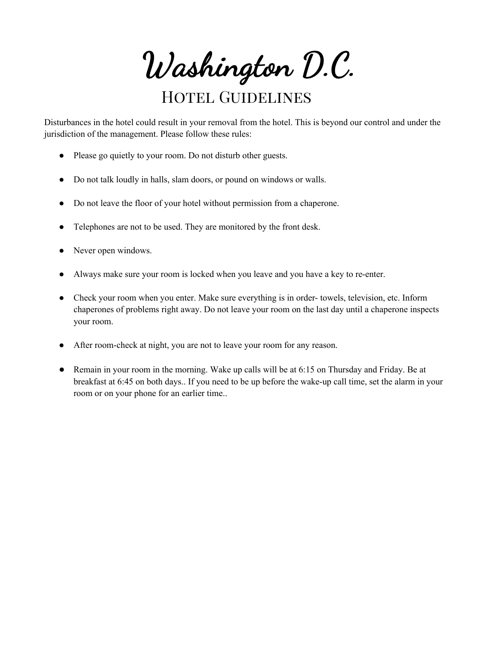Washington D.C.

## HOTEL GUIDELINES

Disturbances in the hotel could result in your removal from the hotel. This is beyond our control and under the jurisdiction of the management. Please follow these rules:

- Please go quietly to your room. Do not disturb other guests.
- Do not talk loudly in halls, slam doors, or pound on windows or walls.
- Do not leave the floor of your hotel without permission from a chaperone.
- Telephones are not to be used. They are monitored by the front desk.
- Never open windows.
- Always make sure your room is locked when you leave and you have a key to re-enter.
- Check your room when you enter. Make sure everything is in order- towels, television, etc. Inform chaperones of problems right away. Do not leave your room on the last day until a chaperone inspects your room.
- After room-check at night, you are not to leave your room for any reason.
- Remain in your room in the morning. Wake up calls will be at 6:15 on Thursday and Friday. Be at breakfast at 6:45 on both days.. If you need to be up before the wake-up call time, set the alarm in your room or on your phone for an earlier time..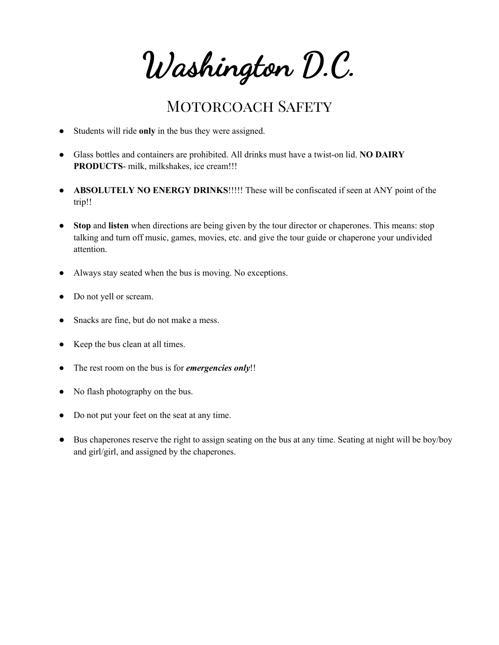Washington D.C.

## MOTORCOACH SAFETY

- Students will ride **only** in the bus they were assigned.
- Glass bottles and containers are prohibited. All drinks must have a twist-on lid. **NO DAIRY PRODUCTS**- milk, milkshakes, ice cream!!!
- **ABSOLUTELY NO ENERGY DRINKS**!!!!! These will be confiscated if seen at ANY point of the trip!!
- **Stop and listen** when directions are being given by the tour director or chaperones. This means: stop talking and turn off music, games, movies, etc. and give the tour guide or chaperone your undivided attention.
- Always stay seated when the bus is moving. No exceptions.
- Do not yell or scream.
- Snacks are fine, but do not make a mess.
- Keep the bus clean at all times.
- The rest room on the bus is for *emergencies only*!!
- No flash photography on the bus.
- Do not put your feet on the seat at any time.
- Bus chaperones reserve the right to assign seating on the bus at any time. Seating at night will be boy/boy and girl/girl, and assigned by the chaperones.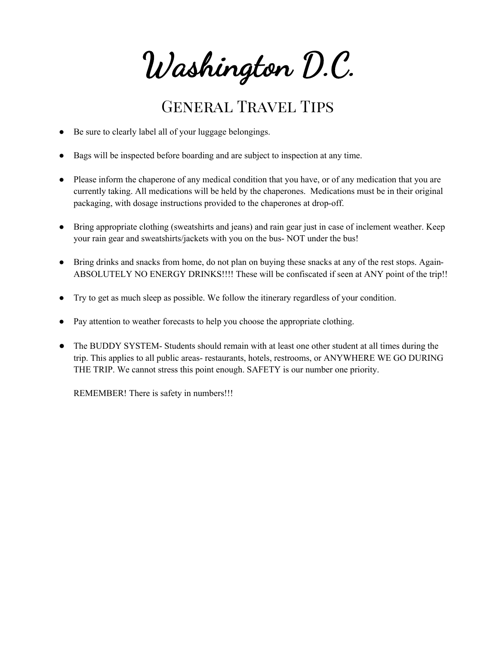Washington D.C.

## General Travel Tips

- Be sure to clearly label all of your luggage belongings.
- Bags will be inspected before boarding and are subject to inspection at any time.
- Please inform the chaperone of any medical condition that you have, or of any medication that you are currently taking. All medications will be held by the chaperones. Medications must be in their original packaging, with dosage instructions provided to the chaperones at drop-off.
- Bring appropriate clothing (sweatshirts and jeans) and rain gear just in case of inclement weather. Keep your rain gear and sweatshirts/jackets with you on the bus- NOT under the bus!
- Bring drinks and snacks from home, do not plan on buying these snacks at any of the rest stops. Again-ABSOLUTELY NO ENERGY DRINKS!!!! These will be confiscated if seen at ANY point of the trip!!
- Try to get as much sleep as possible. We follow the itinerary regardless of your condition.
- Pay attention to weather forecasts to help you choose the appropriate clothing.
- The BUDDY SYSTEM- Students should remain with at least one other student at all times during the trip. This applies to all public areas- restaurants, hotels, restrooms, or ANYWHERE WE GO DURING THE TRIP. We cannot stress this point enough. SAFETY is our number one priority.

REMEMBER! There is safety in numbers!!!